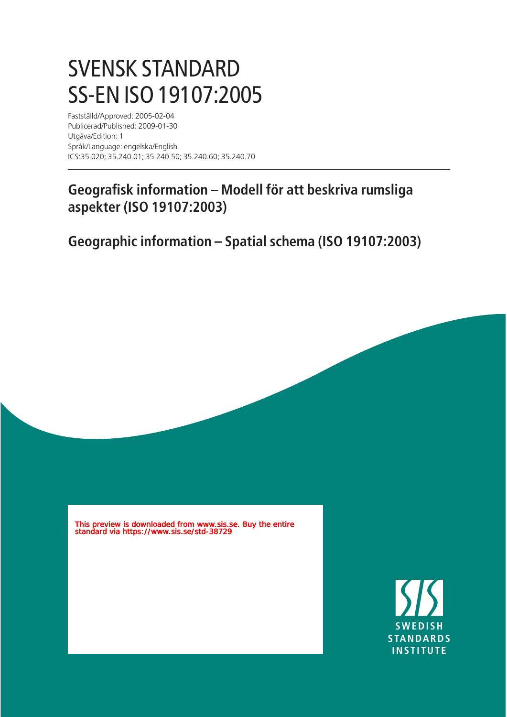## SVENSK STANDARD SS-EN ISO 19107:2005

Fastställd/Approved: 2005-02-04 Publicerad/Published: 2009-01-30 Utgåva/Edition: 1 Språk/Language: engelska/English ICS:35.020; 35.240.01; 35.240.50; 35.240.60; 35.240.70

## **Geografisk information – Modell för att beskriva rumsliga aspekter (ISO 19107:2003)**

**Geographic information – Spatial schema (ISO 19107:2003)**

This preview is downloaded from www.sis.se. Buy the entire standard via https://www.sis.se/std-38729

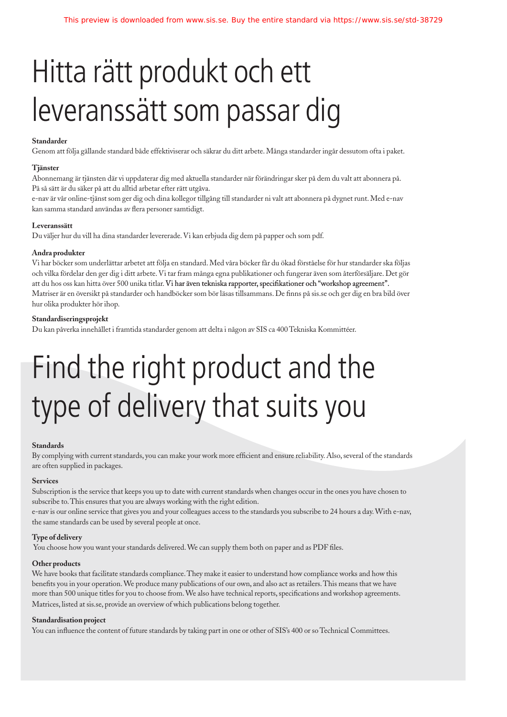## Hitta rätt produkt och ett leveranssätt som passar dig

#### **Standarder**

Genom att följa gällande standard både effektiviserar och säkrar du ditt arbete. Många standarder ingår dessutom ofta i paket.

#### **Tjänster**

Abonnemang är tjänsten där vi uppdaterar dig med aktuella standarder när förändringar sker på dem du valt att abonnera på. På så sätt är du säker på att du alltid arbetar efter rätt utgåva.

e-nav är vår online-tjänst som ger dig och dina kollegor tillgång till standarder ni valt att abonnera på dygnet runt. Med e-nav kan samma standard användas av flera personer samtidigt.

#### **Leveranssätt**

Du väljer hur du vill ha dina standarder levererade. Vi kan erbjuda dig dem på papper och som pdf.

#### **Andra produkter**

Vi har böcker som underlättar arbetet att följa en standard. Med våra böcker får du ökad förståelse för hur standarder ska följas och vilka fördelar den ger dig i ditt arbete. Vi tar fram många egna publikationer och fungerar även som återförsäljare. Det gör att du hos oss kan hitta över 500 unika titlar. Vi har även tekniska rapporter, specifikationer och "workshop agreement". Matriser är en översikt på standarder och handböcker som bör läsas tillsammans. De finns på sis.se och ger dig en bra bild över hur olika produkter hör ihop.

#### **Standardiseringsprojekt**

Du kan påverka innehållet i framtida standarder genom att delta i någon av SIS ca 400 Tekniska Kommittéer.

# Find the right product and the type of delivery that suits you

#### **Standards**

By complying with current standards, you can make your work more efficient and ensure reliability. Also, several of the standards are often supplied in packages.

#### **Services**

Subscription is the service that keeps you up to date with current standards when changes occur in the ones you have chosen to subscribe to. This ensures that you are always working with the right edition.

e-nav is our online service that gives you and your colleagues access to the standards you subscribe to 24 hours a day. With e-nav, the same standards can be used by several people at once.

#### **Type of delivery**

You choose how you want your standards delivered. We can supply them both on paper and as PDF files.

#### **Other products**

We have books that facilitate standards compliance. They make it easier to understand how compliance works and how this benefits you in your operation. We produce many publications of our own, and also act as retailers. This means that we have more than 500 unique titles for you to choose from. We also have technical reports, specifications and workshop agreements. Matrices, listed at sis.se, provide an overview of which publications belong together.

#### **Standardisation project**

You can influence the content of future standards by taking part in one or other of SIS's 400 or so Technical Committees.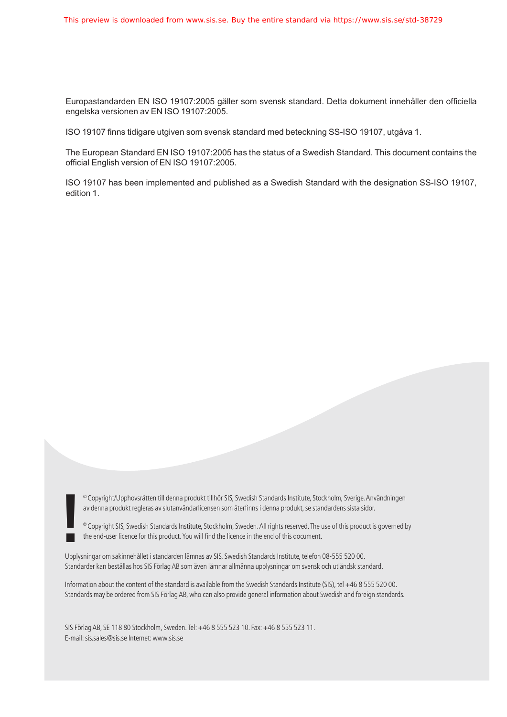Europastandarden EN ISO 19107:2005 gäller som svensk standard. Detta dokument innehåller den officiella engelska versionen av EN ISO 19107:2005.

ISO 19107 finns tidigare utgiven som svensk standard med beteckning SS-ISO 19107, utgåva 1.

The European Standard EN ISO 19107:2005 has the status of a Swedish Standard. This document contains the official English version of EN ISO 19107:2005.

ISO 19107 has been implemented and published as a Swedish Standard with the designation SS-ISO 19107, edition 1.

av denna produkt regleras av slutanvändarlicensen som återfinns i denna produkt, se standardens sista sidor.

<sup>©</sup> Copyright/Upphovsrätten till denna produkt tillhör SIS, Swedish Standards Institute, Stockholm, Sverige. Användningen<br>av denna produkt regleras av slutanvändarlicensen som återfinns i denna produkt, se standardens sist

Upplysningar om sakinnehållet i standarden lämnas av SIS, Swedish Standards Institute, telefon 08-555 520 00. Standarder kan beställas hos SIS Förlag AB som även lämnar allmänna upplysningar om svensk och utländsk standard.

Information about the content of the standard is available from the Swedish Standards Institute (SIS), tel +46 8 555 520 00. Standards may be ordered from SIS Förlag AB, who can also provide general information about Swedish and foreign standards.

SIS Förlag AB, SE 118 80 Stockholm, Sweden. Tel: +46 8 555 523 10. Fax: +46 8 555 523 11. E-mail: sis.sales@sis.se Internet: www.sis.se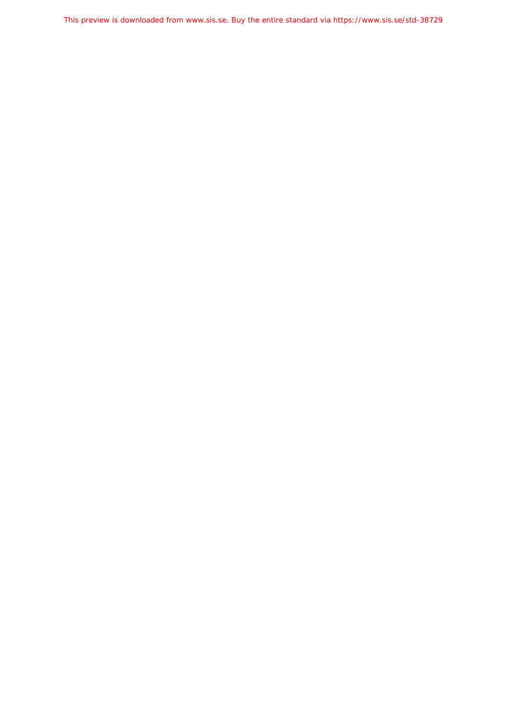This preview is downloaded from www.sis.se. Buy the entire standard via https://www.sis.se/std-38729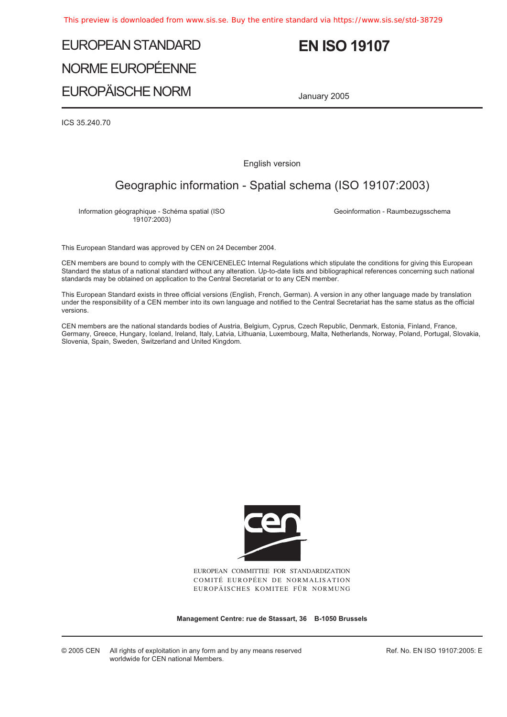## EUROPEAN STANDARD NORME EUROPÉENNE EUROPÄISCHE NORM

## **EN ISO 19107**

January 2005

ICS 35.240.70

English version

## Geographic information - Spatial schema (ISO 19107:2003)

Information géographique - Schéma spatial (ISO 19107:2003)

Geoinformation - Raumbezugsschema

This European Standard was approved by CEN on 24 December 2004.

CEN members are bound to comply with the CEN/CENELEC Internal Regulations which stipulate the conditions for giving this European Standard the status of a national standard without any alteration. Up-to-date lists and bibliographical references concerning such national standards may be obtained on application to the Central Secretariat or to any CEN member.

This European Standard exists in three official versions (English, French, German). A version in any other language made by translation under the responsibility of a CEN member into its own language and notified to the Central Secretariat has the same status as the official versions.

CEN members are the national standards bodies of Austria, Belgium, Cyprus, Czech Republic, Denmark, Estonia, Finland, France, Germany, Greece, Hungary, Iceland, Ireland, Italy, Latvia, Lithuania, Luxembourg, Malta, Netherlands, Norway, Poland, Portugal, Slovakia, Slovenia, Spain, Sweden, Switzerland and United Kingdom.



EUROPEAN COMMITTEE FOR STANDARDIZATION COMITÉ EUROPÉEN DE NORMALISATION EUROPÄISCHES KOMITEE FÜR NORMUNG

**Management Centre: rue de Stassart, 36 B-1050 Brussels**

© 2005 CEN All rights of exploitation in any form and by any means reserved worldwide for CEN national Members.

Ref. No. EN ISO 19107:2005: E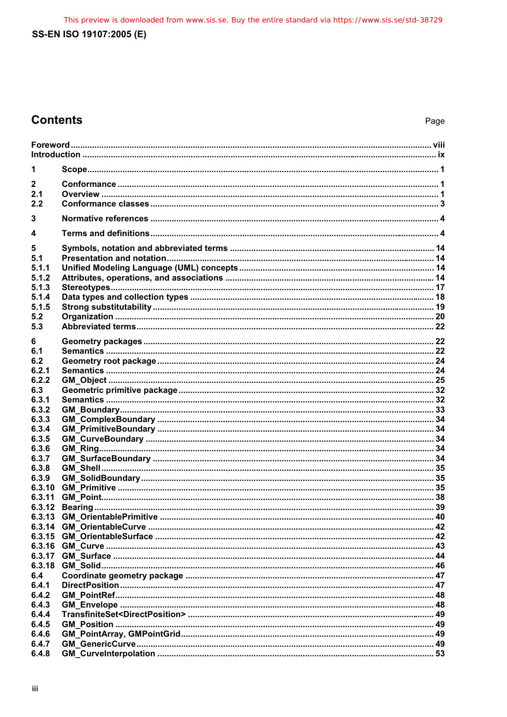This preview is downloaded from www.sis.se. Buy the entire standard via https://www.sis.se/std-38729 SS-EN ISO 19107:2005 (E)

## **Contents**

| 1                                                     |  |
|-------------------------------------------------------|--|
| 2<br>2.1<br>2.2                                       |  |
| 3                                                     |  |
| 4                                                     |  |
| 5<br>5.1<br>5.1.1<br>5.1.2<br>5.1.3<br>5.1.4<br>5.1.5 |  |
| 5.2<br>5.3                                            |  |
| 6                                                     |  |
| 6.1                                                   |  |
| 6.2<br>6.2.1                                          |  |
| 6.2.2                                                 |  |
| 6.3                                                   |  |
| 6.3.1                                                 |  |
| 6.3.2                                                 |  |
| 6.3.3<br>6.3.4                                        |  |
| 6.3.5                                                 |  |
| 6.3.6                                                 |  |
| 6.3.7                                                 |  |
| 6.3.8                                                 |  |
| 6.3.9                                                 |  |
| 6.3.10                                                |  |
| 6.3.11                                                |  |
|                                                       |  |
|                                                       |  |
|                                                       |  |
|                                                       |  |
| 6.3.17                                                |  |
| 6.3.18                                                |  |
| 6.4                                                   |  |
| 6.4.1                                                 |  |
| 6.4.2                                                 |  |
| 6.4.3<br>6.4.4                                        |  |
| 6.4.5                                                 |  |
| 6.4.6                                                 |  |
| 6.4.7                                                 |  |
| 6.4.8                                                 |  |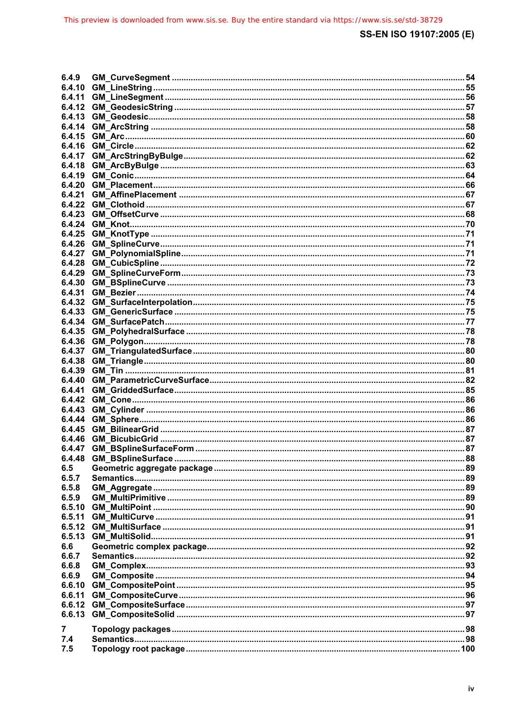| 6.4.9            |  |
|------------------|--|
| 6.4.10           |  |
| 6.4.11           |  |
| 6.4.12           |  |
| 6.4.13           |  |
| 6.4.14           |  |
| 6.4.15           |  |
| 6.4.16<br>6.4.17 |  |
| 6.4.18           |  |
| 6.4.19           |  |
| 6.4.20           |  |
| 6.4.21           |  |
| 6.4.22           |  |
| 6.4.23           |  |
| 6.4.24           |  |
| 6.4.25           |  |
| 6.4.26           |  |
| 6.4.27           |  |
| 6.4.28           |  |
| 6.4.29           |  |
| 6.4.30           |  |
| 6.4.31           |  |
| 6.4.32           |  |
| 6.4.33<br>6.4.34 |  |
| 6.4.35           |  |
| 6.4.36           |  |
| 6.4.37           |  |
| 6.4.38           |  |
| 6.4.39           |  |
| 6.4.40           |  |
| 6.4.41           |  |
| 6.4.42           |  |
| 6.4.43           |  |
| 6.4.44           |  |
| 6.4.45           |  |
| 6.4.46           |  |
| 6.4.47           |  |
|                  |  |
| 6.5              |  |
| 6.5.7            |  |
| 6.5.8<br>6.5.9   |  |
| 6.5.10           |  |
| 6.5.11           |  |
| 6.5.12           |  |
| 6.5.13           |  |
| 6.6              |  |
| 6.6.7            |  |
| 6.6.8            |  |
| 6.6.9            |  |
| 6.6.10           |  |
| 6.6.11           |  |
| 6.6.12           |  |
| 6.6.13           |  |
| $\overline{7}$   |  |
| 7.4              |  |
| 7.5              |  |
|                  |  |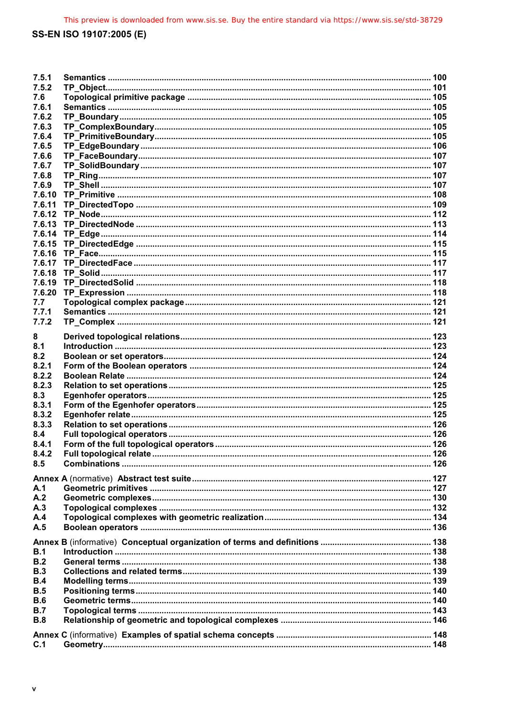| 7.5.1          |  |
|----------------|--|
| 7.5.2          |  |
| 7.6            |  |
| 7.6.1          |  |
| 7.6.2          |  |
| 7.6.3<br>7.6.4 |  |
| 7.6.5          |  |
| 7.6.6          |  |
| 7.6.7          |  |
| 7.6.8          |  |
| 7.6.9          |  |
| 7.6.10         |  |
| 7.6.11         |  |
| 7.6.12         |  |
| 7.6.13         |  |
| 7.6.14         |  |
| 7.6.15         |  |
| 7.6.16         |  |
| 7.6.17         |  |
| 7.6.18         |  |
| 7.6.19         |  |
| 7.6.20         |  |
| 7.7            |  |
| 7.7.1          |  |
| 7.7.2          |  |
|                |  |
| 8<br>8.1       |  |
| 8.2            |  |
|                |  |
| 8.2.1<br>8.2.2 |  |
| 8.2.3          |  |
| 8.3            |  |
| 8.3.1          |  |
| 8.3.2          |  |
| 8.3.3          |  |
| 8.4            |  |
| 8.4.1          |  |
|                |  |
| 8.4.2<br>8.5   |  |
|                |  |
|                |  |
| A.1            |  |
| A.2            |  |
| A.3            |  |
| A.4            |  |
| A.5            |  |
|                |  |
| B.1            |  |
| B.2            |  |
| B.3            |  |
| B.4            |  |
| B.5            |  |
| B.6            |  |
| B.7            |  |
| <b>B.8</b>     |  |
|                |  |
|                |  |
| C.1            |  |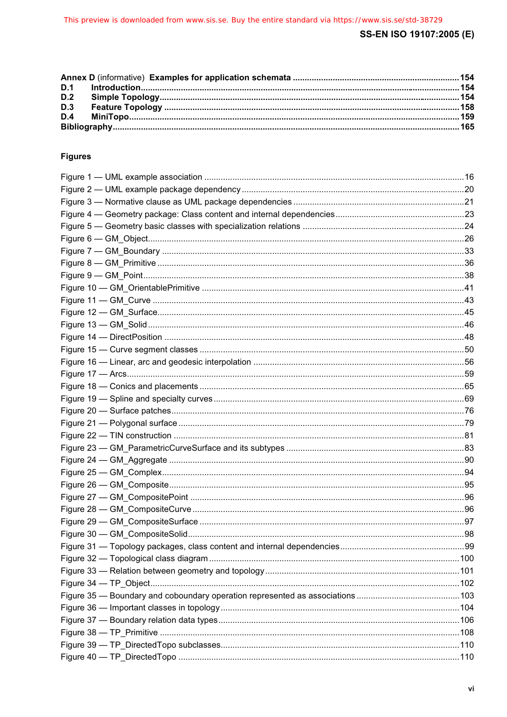| D.2 |  |
|-----|--|
| D.3 |  |
|     |  |
|     |  |

## **Figures**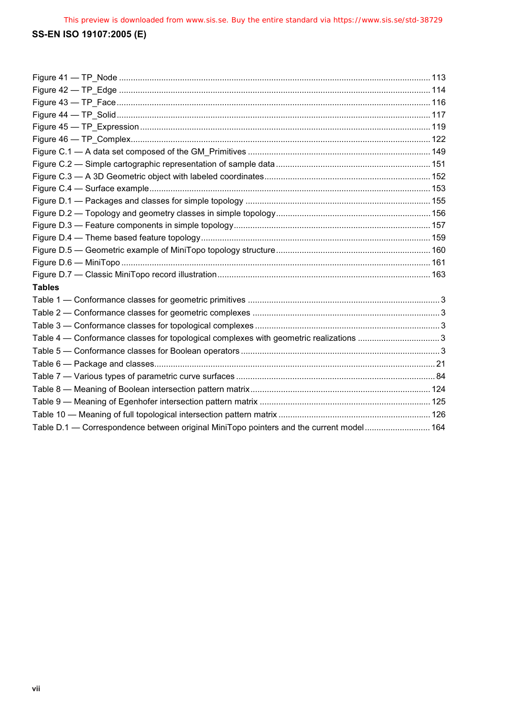| <b>Tables</b>                                                                           |  |
|-----------------------------------------------------------------------------------------|--|
|                                                                                         |  |
|                                                                                         |  |
|                                                                                         |  |
|                                                                                         |  |
|                                                                                         |  |
|                                                                                         |  |
|                                                                                         |  |
|                                                                                         |  |
|                                                                                         |  |
|                                                                                         |  |
| Table D.1 — Correspondence between original MiniTopo pointers and the current model 164 |  |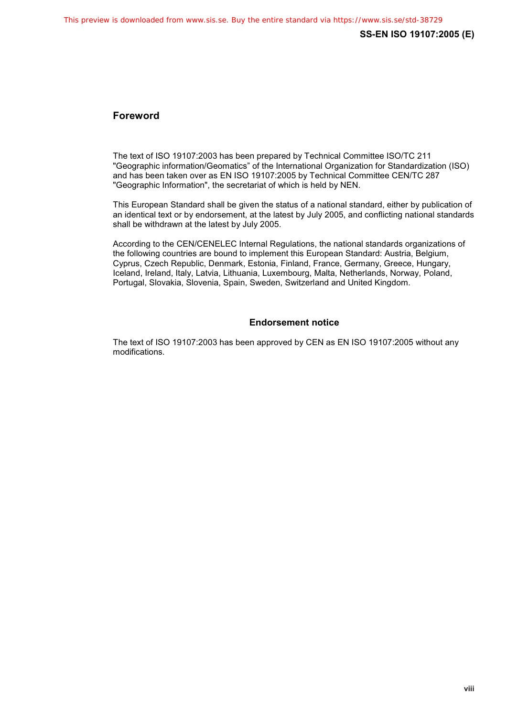#### **Foreword**

**EN ISO 19107:200E**

The text of ISO 19107:2003 has been prepared by Technical Committee ISO/TC 211 "Geographic information/Geomatics" of the International Organization for Standardization (ISO) and has been taken over as EN ISO 19107:2005 by Technical Committee CEN/TC 287 "Geographic Information", the secretariat of which is held by NEN.

This European Standard shall be given the status of a national standard, either by publication of an identical text or by endorsement, at the latest by July 2005, and conflicting national standards shall be withdrawn at the latest by July 2005.

According to the CEN/CENELEC Internal Regulations, the national standards organizations of the following countries are bound to implement this European Standard: Austria, Belgium, Cyprus, Czech Republic, Denmark, Estonia, Finland, France, Germany, Greece, Hungary, Iceland, Ireland, Italy, Latvia, Lithuania, Luxembourg, Malta, Netherlands, Norway, Poland, Portugal, Slovakia, Slovenia, Spain, Sweden, Switzerland and United Kingdom.

#### **Endorsement notice**

The text of ISO 19107:2003 has been approved by CEN as EN ISO 19107:2005 without any modifications.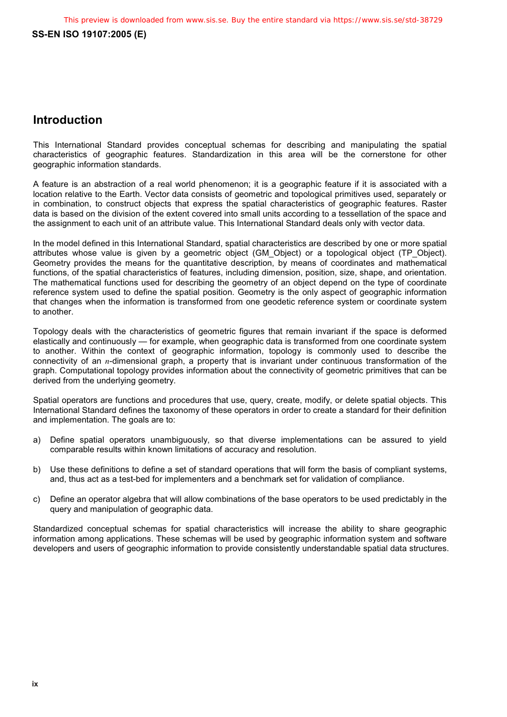## **Introduction**

This International Standard provides conceptual schemas for describing and manipulating the spatial characteristics of geographic features. Standardization in this area will be the cornerstone for other geographic information standards.

A feature is an abstraction of a real world phenomenon; it is a geographic feature if it is associated with a location relative to the Earth. Vector data consists of geometric and topological primitives used, separately or in combination, to construct objects that express the spatial characteristics of geographic features. Raster data is based on the division of the extent covered into small units according to a tessellation of the space and the assignment to each unit of an attribute value. This International Standard deals only with vector data.

In the model defined in this International Standard, spatial characteristics are described by one or more spatial attributes whose value is given by a geometric object (GM\_Object) or a topological object (TP\_Object). Geometry provides the means for the quantitative description, by means of coordinates and mathematical functions, of the spatial characteristics of features, including dimension, position, size, shape, and orientation. The mathematical functions used for describing the geometry of an object depend on the type of coordinate reference system used to define the spatial position. Geometry is the only aspect of geographic information that changes when the information is transformed from one geodetic reference system or coordinate system to another.

Topology deals with the characteristics of geometric figures that remain invariant if the space is deformed elastically and continuously — for example, when geographic data is transformed from one coordinate system to another. Within the context of geographic information, topology is commonly used to describe the connectivity of an *n*-dimensional graph, a property that is invariant under continuous transformation of the graph. Computational topology provides information about the connectivity of geometric primitives that can be derived from the underlying geometry.

Spatial operators are functions and procedures that use, query, create, modify, or delete spatial objects. This International Standard defines the taxonomy of these operators in order to create a standard for their definition and implementation. The goals are to:

- a) Define spatial operators unambiguously, so that diverse implementations can be assured to yield comparable results within known limitations of accuracy and resolution.
- b) Use these definitions to define a set of standard operations that will form the basis of compliant systems, and, thus act as a test-bed for implementers and a benchmark set for validation of compliance.
- c) Define an operator algebra that will allow combinations of the base operators to be used predictably in the query and manipulation of geographic data.

Standardized conceptual schemas for spatial characteristics will increase the ability to share geographic information among applications. These schemas will be used by geographic information system and software developers and users of geographic information to provide consistently understandable spatial data structures.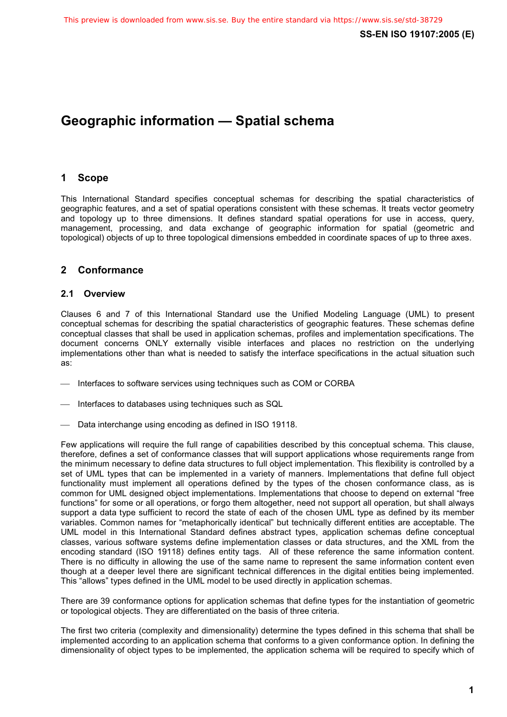## **Geographic information — Spatial schema**

#### **1 Scope**

This International Standard specifies conceptual schemas for describing the spatial characteristics of geographic features, and a set of spatial operations consistent with these schemas. It treats vector geometry and topology up to three dimensions. It defines standard spatial operations for use in access, query, management, processing, and data exchange of geographic information for spatial (geometric and topological) objects of up to three topological dimensions embedded in coordinate spaces of up to three axes.

#### **2 Conformance**

#### **2.1 Overview**

Clauses 6 and 7 of this International Standard use the Unified Modeling Language (UML) to present conceptual schemas for describing the spatial characteristics of geographic features. These schemas define conceptual classes that shall be used in application schemas, profiles and implementation specifications. The document concerns ONLY externally visible interfaces and places no restriction on the underlying implementations other than what is needed to satisfy the interface specifications in the actual situation such as:

- Interfaces to software services using techniques such as COM or CORBA
- Interfaces to databases using techniques such as SQL
- $-$  Data interchange using encoding as defined in ISO 19118.

Few applications will require the full range of capabilities described by this conceptual schema. This clause, therefore, defines a set of conformance classes that will support applications whose requirements range from the minimum necessary to define data structures to full object implementation. This flexibility is controlled by a set of UML types that can be implemented in a variety of manners. Implementations that define full object functionality must implement all operations defined by the types of the chosen conformance class, as is common for UML designed object implementations. Implementations that choose to depend on external "free functions" for some or all operations, or forgo them altogether, need not support all operation, but shall always support a data type sufficient to record the state of each of the chosen UML type as defined by its member variables. Common names for "metaphorically identical" but technically different entities are acceptable. The UML model in this International Standard defines abstract types, application schemas define conceptual classes, various software systems define implementation classes or data structures, and the XML from the encoding standard (ISO 19118) defines entity tags. All of these reference the same information content. There is no difficulty in allowing the use of the same name to represent the same information content even though at a deeper level there are significant technical differences in the digital entities being implemented. This "allows" types defined in the UML model to be used directly in application schemas.

There are 39 conformance options for application schemas that define types for the instantiation of geometric or topological objects. They are differentiated on the basis of three criteria.

The first two criteria (complexity and dimensionality) determine the types defined in this schema that shall be implemented according to an application schema that conforms to a given conformance option. In defining the dimensionality of object types to be implemented, the application schema will be required to specify which of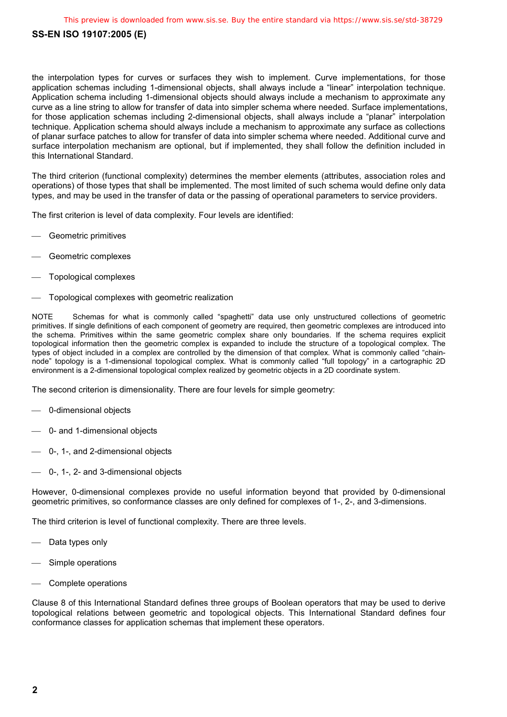the interpolation types for curves or surfaces they wish to implement. Curve implementations, for those application schemas including 1-dimensional objects, shall always include a "linear" interpolation technique. Application schema including 1-dimensional objects should always include a mechanism to approximate any curve as a line string to allow for transfer of data into simpler schema where needed. Surface implementations, for those application schemas including 2-dimensional objects, shall always include a "planar" interpolation technique. Application schema should always include a mechanism to approximate any surface as collections of planar surface patches to allow for transfer of data into simpler schema where needed. Additional curve and surface interpolation mechanism are optional, but if implemented, they shall follow the definition included in this International Standard.

The third criterion (functional complexity) determines the member elements (attributes, association roles and operations) of those types that shall be implemented. The most limited of such schema would define only data types, and may be used in the transfer of data or the passing of operational parameters to service providers.

The first criterion is level of data complexity. Four levels are identified:

- Geometric primitives
- Geometric complexes
- Topological complexes
- Topological complexes with geometric realization

NOTE Schemas for what is commonly called "spaghetti" data use only unstructured collections of geometric primitives. If single definitions of each component of geometry are required, then geometric complexes are introduced into the schema. Primitives within the same geometric complex share only boundaries. If the schema requires explicit topological information then the geometric complex is expanded to include the structure of a topological complex. The types of object included in a complex are controlled by the dimension of that complex. What is commonly called "chainnode" topology is a 1-dimensional topological complex. What is commonly called "full topology" in a cartographic 2D environment is a 2-dimensional topological complex realized by geometric objects in a 2D coordinate system.

The second criterion is dimensionality. There are four levels for simple geometry:

- 0-dimensional objects
- 0- and 1-dimensional objects
- 0-, 1-, and 2-dimensional objects
- 0-, 1-, 2- and 3-dimensional objects

However, 0-dimensional complexes provide no useful information beyond that provided by 0-dimensional geometric primitives, so conformance classes are only defined for complexes of 1-, 2-, and 3-dimensions.

The third criterion is level of functional complexity. There are three levels.

- Data types only
- Simple operations
- Complete operations

Clause 8 of this International Standard defines three groups of Boolean operators that may be used to derive topological relations between geometric and topological objects. This International Standard defines four conformance classes for application schemas that implement these operators.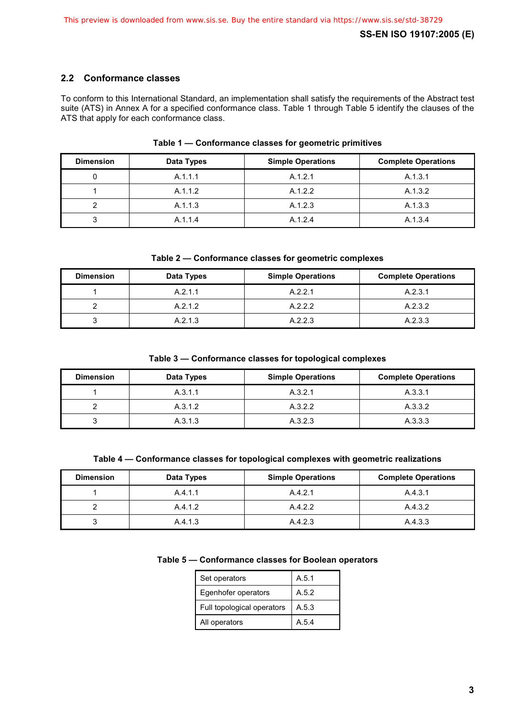#### **2.2 Conformance classes**

To conform to this International Standard, an implementation shall satisfy the requirements of the Abstract test suite (ATS) in Annex A for a specified conformance class. Table 1 through Table 5 identify the clauses of the ATS that apply for each conformance class.

| <b>Dimension</b> | Data Types | <b>Simple Operations</b> | <b>Complete Operations</b> |
|------------------|------------|--------------------------|----------------------------|
|                  | A.1.1.1    | A.1.2.1                  | A.1.3.1                    |
|                  | A.1.1.2    | A.1.2.2                  | A.1.3.2                    |
|                  | A.1.1.3    | A.1.2.3                  | A.1.3.3                    |
| 3                | A.1.1.4    | A.1.2.4                  | A.1.3.4                    |

#### **Table 1 — Conformance classes for geometric primitives**

#### **Table 2 — Conformance classes for geometric complexes**

| <b>Dimension</b> | Data Types | <b>Simple Operations</b> | <b>Complete Operations</b> |
|------------------|------------|--------------------------|----------------------------|
|                  | A.2.1.1    | A.2.2.1                  | A.2.3.1                    |
|                  | A.2.1.2    | A.2.2.2                  | A.2.3.2                    |
|                  | A.2.1.3    | A.2.2.3                  | A.2.3.3                    |

#### **Table 3 — Conformance classes for topological complexes**

| <b>Dimension</b> | Data Types | <b>Simple Operations</b> | <b>Complete Operations</b> |
|------------------|------------|--------------------------|----------------------------|
|                  | A.3.1.1    | A.3.2.1                  | A.3.3.1                    |
|                  | A.3.1.2    | A.3.2.2                  | A.3.3.2                    |
| J                | A.3.1.3    | A.3.2.3                  | A.3.3.3                    |

#### **Table 4 — Conformance classes for topological complexes with geometric realizations**

| <b>Dimension</b> | Data Types | <b>Simple Operations</b> | <b>Complete Operations</b> |
|------------------|------------|--------------------------|----------------------------|
|                  | A.4.1.1    | A.4.2.1                  | A.4.3.1                    |
|                  | A.4.1.2    | A.4.2.2                  | A.4.3.2                    |
|                  | A.4.1.3    | A.4.2.3                  | A.4.3.3                    |

| Table 5 - Conformance classes for Boolean operators |  |  |  |  |  |  |
|-----------------------------------------------------|--|--|--|--|--|--|
|-----------------------------------------------------|--|--|--|--|--|--|

| Set operators              | A.5.1 |
|----------------------------|-------|
| Egenhofer operators        | A.5.2 |
| Full topological operators | A.5.3 |
| All operators              | A.5.4 |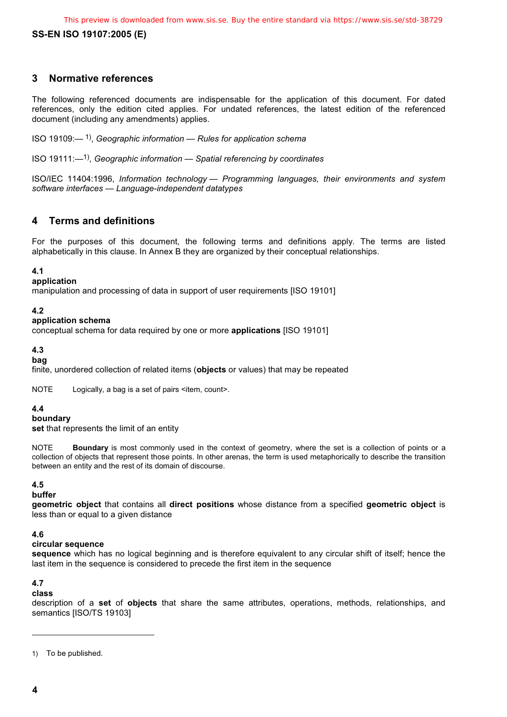#### **3 Normative references**

The following referenced documents are indispensable for the application of this document. For dated references, only the edition cited applies. For undated references, the latest edition of the referenced document (including any amendments) applies.

ISO 19109:— 1), *Geographic information — Rules for application schema*

ISO 19111:—1), *Geographic information — Spatial referencing by coordinates*

ISO/IEC 11404:1996, *Information technology — Programming languages, their environments and system software interfaces — Language-independent datatypes*

#### **4 Terms and definitions**

For the purposes of this document, the following terms and definitions apply. The terms are listed alphabetically in this clause. In Annex B they are organized by their conceptual relationships.

#### **4.1**

#### **application**

manipulation and processing of data in support of user requirements [ISO 19101]

#### **4.2**

#### **application schema**

conceptual schema for data required by one or more **applications** [ISO 19101]

#### **4.3**

**bag** 

finite, unordered collection of related items (**objects** or values) that may be repeated

NOTE Logically, a bag is a set of pairs <item, count>.

#### **4.4**

#### **boundary**

**set** that represents the limit of an entity

NOTE **Boundary** is most commonly used in the context of geometry, where the set is a collection of points or a collection of objects that represent those points. In other arenas, the term is used metaphorically to describe the transition between an entity and the rest of its domain of discourse.

#### **4.5**

#### **buffer**

**geometric object** that contains all **direct positions** whose distance from a specified **geometric object** is less than or equal to a given distance

#### **4.6**

#### **circular sequence**

**sequence** which has no logical beginning and is therefore equivalent to any circular shift of itself; hence the last item in the sequence is considered to precede the first item in the sequence

#### **4.7**

#### **class**

description of a **set** of **objects** that share the same attributes, operations, methods, relationships, and semantics [ISO/TS 19103]

 $\overline{a}$ 

<sup>1)</sup> To be published.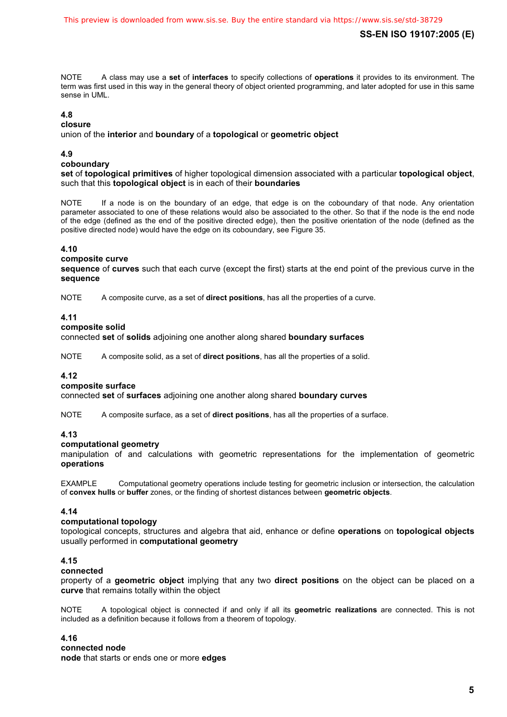NOTE A class may use a **set** of **interfaces** to specify collections of **operations** it provides to its environment. The term was first used in this way in the general theory of object oriented programming, and later adopted for use in this same sense in UML.

#### **4.8**

#### **closure**

union of the **interior** and **boundary** of a **topological** or **geometric object**

#### **4.9**

#### **coboundary**

**set** of **topological primitives** of higher topological dimension associated with a particular **topological object**, such that this **topological object** is in each of their **boundaries**

NOTE If a node is on the boundary of an edge, that edge is on the coboundary of that node. Any orientation parameter associated to one of these relations would also be associated to the other. So that if the node is the end node of the edge (defined as the end of the positive directed edge), then the positive orientation of the node (defined as the positive directed node) would have the edge on its coboundary, see Figure 35.

#### **4.10**

#### **composite curve**

**sequence** of **curves** such that each curve (except the first) starts at the end point of the previous curve in the **sequence**

NOTE A composite curve, as a set of **direct positions**, has all the properties of a curve.

#### **4.11**

#### **composite solid**

connected **set** of **solids** adjoining one another along shared **boundary surfaces**

NOTE A composite solid, as a set of **direct positions**, has all the properties of a solid.

#### **4.12**

#### **composite surface**

connected **set** of **surfaces** adjoining one another along shared **boundary curves**

NOTE A composite surface, as a set of **direct positions**, has all the properties of a surface.

#### **4.13**

#### **computational geometry**

manipulation of and calculations with geometric representations for the implementation of geometric **operations**

EXAMPLE Computational geometry operations include testing for geometric inclusion or intersection, the calculation of **convex hulls** or **buffer** zones, or the finding of shortest distances between **geometric objects**.

#### **4.14**

#### **computational topology**

topological concepts, structures and algebra that aid, enhance or define **operations** on **topological objects** usually performed in **computational geometry**

#### **4.15**

#### **connected**

property of a **geometric object** implying that any two **direct positions** on the object can be placed on a **curve** that remains totally within the object

NOTE A topological object is connected if and only if all its **geometric realizations** are connected. This is not included as a definition because it follows from a theorem of topology.

#### **4.16**

#### **connected node**

**node** that starts or ends one or more **edges**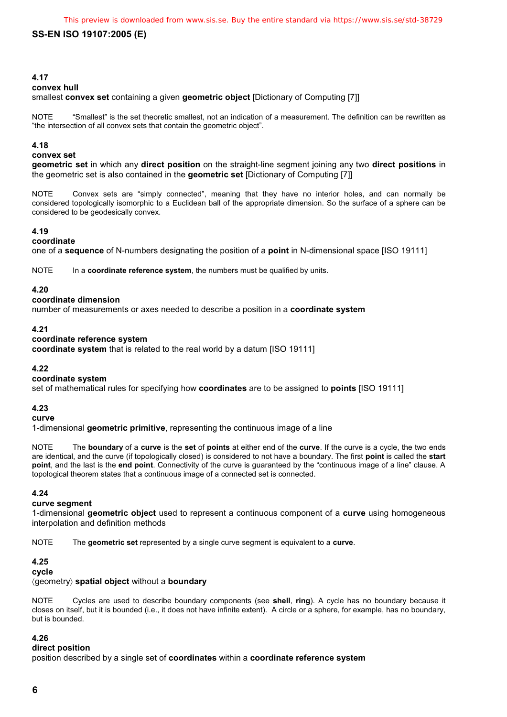#### **4.17**

#### **convex hull**

smallest **convex set** containing a given **geometric object** [Dictionary of Computing [7]]

NOTE "Smallest" is the set theoretic smallest, not an indication of a measurement. The definition can be rewritten as "the intersection of all convex sets that contain the geometric object".

#### **4.18**

#### **convex set**

**geometric set** in which any **direct position** on the straight-line segment joining any two **direct positions** in the geometric set is also contained in the **geometric set** [Dictionary of Computing [7]]

NOTE Convex sets are "simply connected", meaning that they have no interior holes, and can normally be considered topologically isomorphic to a Euclidean ball of the appropriate dimension. So the surface of a sphere can be considered to be geodesically convex.

#### **4.19**

#### **coordinate**

one of a **sequence** of N-numbers designating the position of a **point** in N-dimensional space [ISO 19111]

NOTE In a **coordinate reference system**, the numbers must be qualified by units.

#### **4.20**

#### **coordinate dimension**

number of measurements or axes needed to describe a position in a **coordinate system**

#### **4.21**

#### **coordinate reference system**

**coordinate system** that is related to the real world by a datum [ISO 19111]

#### **4.22**

#### **coordinate system**

set of mathematical rules for specifying how **coordinates** are to be assigned to **points** [ISO 19111]

#### **4.23**

#### **curve**

1-dimensional **geometric primitive**, representing the continuous image of a line

NOTE The **boundary** of a **curve** is the **set** of **points** at either end of the **curve**. If the curve is a cycle, the two ends are identical, and the curve (if topologically closed) is considered to not have a boundary. The first **point** is called the **start point**, and the last is the **end point**. Connectivity of the curve is guaranteed by the "continuous image of a line" clause. A topological theorem states that a continuous image of a connected set is connected.

#### **4.24**

#### **curve segment**

1-dimensional **geometric object** used to represent a continuous component of a **curve** using homogeneous interpolation and definition methods

NOTE The **geometric set** represented by a single curve segment is equivalent to a **curve**.

#### **4.25**

#### **cycle**

#### ¢geometry² **spatial object** without a **boundary**

NOTE Cycles are used to describe boundary components (see **shell**, **ring**). A cycle has no boundary because it closes on itself, but it is bounded (i.e., it does not have infinite extent). A circle or a sphere, for example, has no boundary, but is bounded.

#### **4.26**

#### **direct position**

position described by a single set of **coordinates** within a **coordinate reference system**